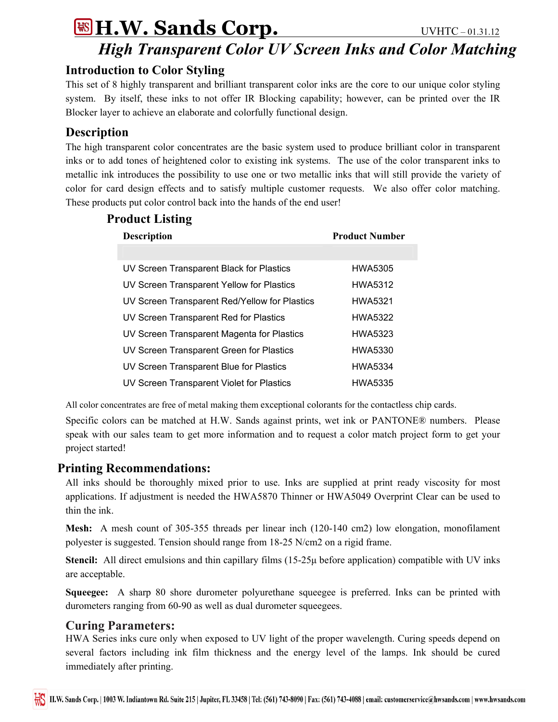# **ES H.W. Sands Corp.** UVHTC-01.31.12

# *High Transparent Color UV Screen Inks and Color Matching*

### **Introduction to Color Styling**

This set of 8 highly transparent and brilliant transparent color inks are the core to our unique color styling system. By itself, these inks to not offer IR Blocking capability; however, can be printed over the IR Blocker layer to achieve an elaborate and colorfully functional design.

# **Description**

The high transparent color concentrates are the basic system used to produce brilliant color in transparent inks or to add tones of heightened color to existing ink systems. The use of the color transparent inks to metallic ink introduces the possibility to use one or two metallic inks that will still provide the variety of color for card design effects and to satisfy multiple customer requests. We also offer color matching. These products put color control back into the hands of the end user!

| <b>Description</b>                            | <b>Product Number</b> |
|-----------------------------------------------|-----------------------|
|                                               |                       |
| UV Screen Transparent Black for Plastics      | HWA5305               |
| UV Screen Transparent Yellow for Plastics     | <b>HWA5312</b>        |
| UV Screen Transparent Red/Yellow for Plastics | <b>HWA5321</b>        |
| UV Screen Transparent Red for Plastics        | HWA5322               |
| UV Screen Transparent Magenta for Plastics    | HWA5323               |
| UV Screen Transparent Green for Plastics      | HWA5330               |
| UV Screen Transparent Blue for Plastics       | HWA5334               |
| UV Screen Transparent Violet for Plastics     | <b>HWA5335</b>        |

### **Product Listing**

All color concentrates are free of metal making them exceptional colorants for the contactless chip cards.

Specific colors can be matched at H.W. Sands against prints, wet ink or PANTONE® numbers. Please speak with our sales team to get more information and to request a color match project form to get your project started!

## **Printing Recommendations:**

All inks should be thoroughly mixed prior to use. Inks are supplied at print ready viscosity for most applications. If adjustment is needed the HWA5870 Thinner or HWA5049 Overprint Clear can be used to thin the ink.

**Mesh:** A mesh count of 305-355 threads per linear inch (120-140 cm2) low elongation, monofilament polyester is suggested. Tension should range from 18-25 N/cm2 on a rigid frame.

**Stencil:** All direct emulsions and thin capillary films (15-25μ before application) compatible with UV inks are acceptable.

**Squeegee:** A sharp 80 shore durometer polyurethane squeegee is preferred. Inks can be printed with durometers ranging from 60-90 as well as dual durometer squeegees.

## **Curing Parameters:**

HWA Series inks cure only when exposed to UV light of the proper wavelength. Curing speeds depend on several factors including ink film thickness and the energy level of the lamps. Ink should be cured immediately after printing.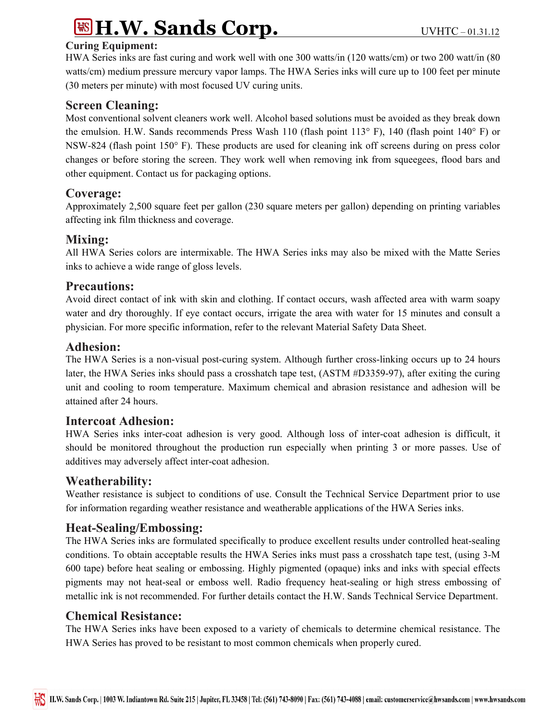# **ES H.W. Sands Corp.** UVHTC-01.31.12

#### **Curing Equipment:**

HWA Series inks are fast curing and work well with one 300 watts/in (120 watts/cm) or two 200 watt/in (80 watts/cm) medium pressure mercury vapor lamps. The HWA Series inks will cure up to 100 feet per minute (30 meters per minute) with most focused UV curing units.

#### **Screen Cleaning:**

Most conventional solvent cleaners work well. Alcohol based solutions must be avoided as they break down the emulsion. H.W. Sands recommends Press Wash 110 (flash point 113° F), 140 (flash point 140° F) or NSW-824 (flash point 150° F). These products are used for cleaning ink off screens during on press color changes or before storing the screen. They work well when removing ink from squeegees, flood bars and other equipment. Contact us for packaging options.

#### **Coverage:**

Approximately 2,500 square feet per gallon (230 square meters per gallon) depending on printing variables affecting ink film thickness and coverage.

#### **Mixing:**

All HWA Series colors are intermixable. The HWA Series inks may also be mixed with the Matte Series inks to achieve a wide range of gloss levels.

#### **Precautions:**

Avoid direct contact of ink with skin and clothing. If contact occurs, wash affected area with warm soapy water and dry thoroughly. If eye contact occurs, irrigate the area with water for 15 minutes and consult a physician. For more specific information, refer to the relevant Material Safety Data Sheet.

#### **Adhesion:**

The HWA Series is a non-visual post-curing system. Although further cross-linking occurs up to 24 hours later, the HWA Series inks should pass a crosshatch tape test, (ASTM #D3359-97), after exiting the curing unit and cooling to room temperature. Maximum chemical and abrasion resistance and adhesion will be attained after 24 hours.

#### **Intercoat Adhesion:**

HWA Series inks inter-coat adhesion is very good. Although loss of inter-coat adhesion is difficult, it should be monitored throughout the production run especially when printing 3 or more passes. Use of additives may adversely affect inter-coat adhesion.

#### **Weatherability:**

Weather resistance is subject to conditions of use. Consult the Technical Service Department prior to use for information regarding weather resistance and weatherable applications of the HWA Series inks.

#### **Heat-Sealing/Embossing:**

The HWA Series inks are formulated specifically to produce excellent results under controlled heat-sealing conditions. To obtain acceptable results the HWA Series inks must pass a crosshatch tape test, (using 3-M 600 tape) before heat sealing or embossing. Highly pigmented (opaque) inks and inks with special effects pigments may not heat-seal or emboss well. Radio frequency heat-sealing or high stress embossing of metallic ink is not recommended. For further details contact the H.W. Sands Technical Service Department.

#### **Chemical Resistance:**

The HWA Series inks have been exposed to a variety of chemicals to determine chemical resistance. The HWA Series has proved to be resistant to most common chemicals when properly cured.